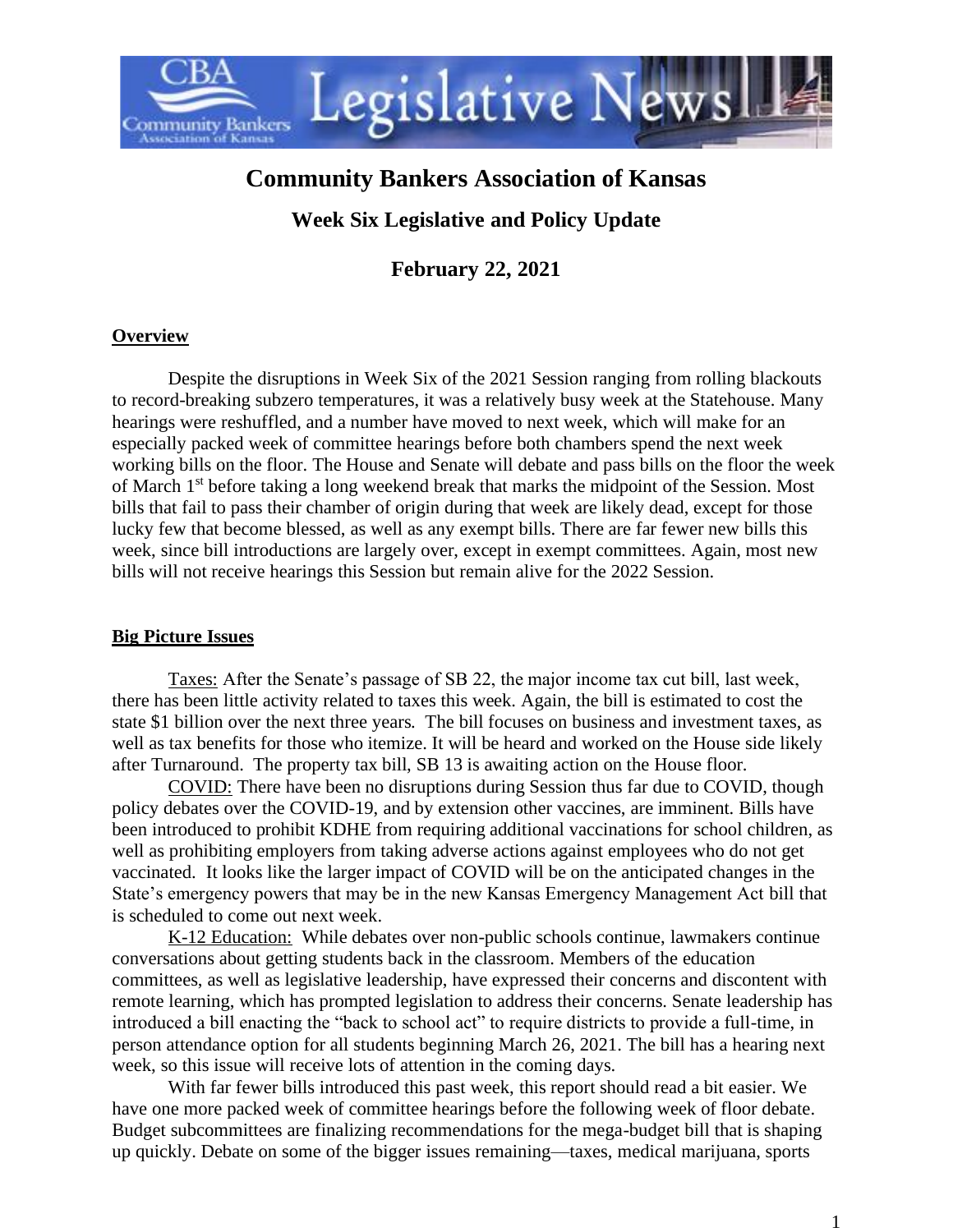

# **Community Bankers Association of Kansas**

## **Week Six Legislative and Policy Update**

**February 22, 2021**

#### **Overview**

Despite the disruptions in Week Six of the 2021 Session ranging from rolling blackouts to record-breaking subzero temperatures, it was a relatively busy week at the Statehouse. Many hearings were reshuffled, and a number have moved to next week, which will make for an especially packed week of committee hearings before both chambers spend the next week working bills on the floor. The House and Senate will debate and pass bills on the floor the week of March 1<sup>st</sup> before taking a long weekend break that marks the midpoint of the Session. Most bills that fail to pass their chamber of origin during that week are likely dead, except for those lucky few that become blessed, as well as any exempt bills. There are far fewer new bills this week, since bill introductions are largely over, except in exempt committees. Again, most new bills will not receive hearings this Session but remain alive for the 2022 Session.

#### **Big Picture Issues**

Taxes: After the Senate's passage of SB 22, the major income tax cut bill, last week, there has been little activity related to taxes this week. Again, the bill is estimated to cost the state \$1 billion over the next three years. The bill focuses on business and investment taxes, as well as tax benefits for those who itemize. It will be heard and worked on the House side likely after Turnaround. The property tax bill, SB 13 is awaiting action on the House floor.

COVID: There have been no disruptions during Session thus far due to COVID, though policy debates over the COVID-19, and by extension other vaccines, are imminent. Bills have been introduced to prohibit KDHE from requiring additional vaccinations for school children, as well as prohibiting employers from taking adverse actions against employees who do not get vaccinated. It looks like the larger impact of COVID will be on the anticipated changes in the State's emergency powers that may be in the new Kansas Emergency Management Act bill that is scheduled to come out next week.

K-12 Education: While debates over non-public schools continue, lawmakers continue conversations about getting students back in the classroom. Members of the education committees, as well as legislative leadership, have expressed their concerns and discontent with remote learning, which has prompted legislation to address their concerns. Senate leadership has introduced a bill enacting the "back to school act" to require districts to provide a full-time, in person attendance option for all students beginning March 26, 2021. The bill has a hearing next week, so this issue will receive lots of attention in the coming days.

With far fewer bills introduced this past week, this report should read a bit easier. We have one more packed week of committee hearings before the following week of floor debate. Budget subcommittees are finalizing recommendations for the mega-budget bill that is shaping up quickly. Debate on some of the bigger issues remaining—taxes, medical marijuana, sports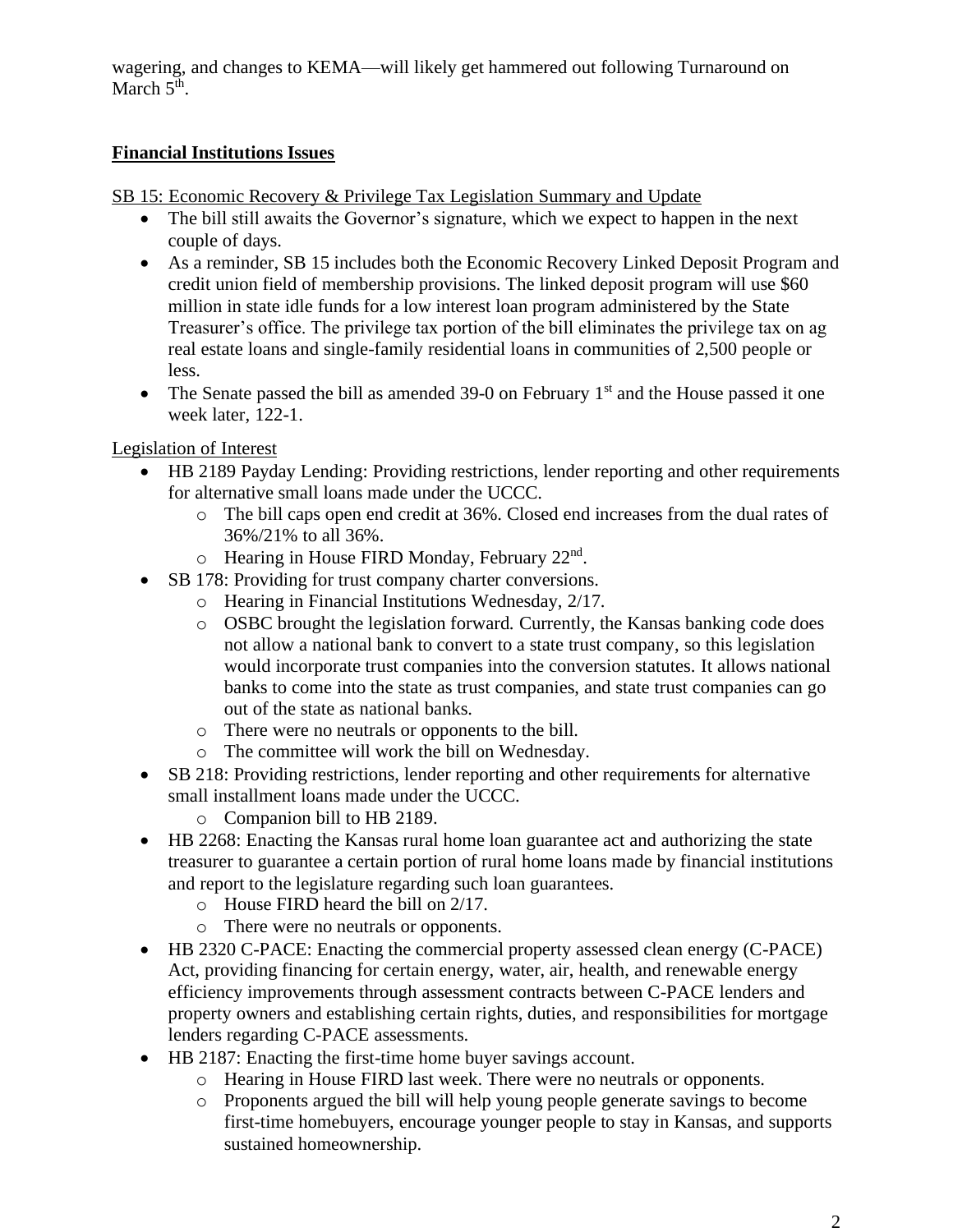wagering, and changes to KEMA—will likely get hammered out following Turnaround on March  $5<sup>th</sup>$ .

### **Financial Institutions Issues**

SB 15: Economic Recovery & Privilege Tax Legislation Summary and Update

- The bill still awaits the Governor's signature, which we expect to happen in the next couple of days.
- As a reminder, SB 15 includes both the Economic Recovery Linked Deposit Program and credit union field of membership provisions. The linked deposit program will use \$60 million in state idle funds for a low interest loan program administered by the State Treasurer's office. The privilege tax portion of the bill eliminates the privilege tax on ag real estate loans and single-family residential loans in communities of 2,500 people or less.
- The Senate passed the bill as amended 39-0 on February  $1<sup>st</sup>$  and the House passed it one week later, 122-1.

#### Legislation of Interest

- HB 2189 Payday Lending: Providing restrictions, lender reporting and other requirements for alternative small loans made under the UCCC.
	- o The bill caps open end credit at 36%. Closed end increases from the dual rates of 36%/21% to all 36%.
	- $\circ$  Hearing in House FIRD Monday, February 22<sup>nd</sup>.
- SB 178: Providing for trust company charter conversions.
	- o Hearing in Financial Institutions Wednesday, 2/17.
		- o OSBC brought the legislation forward. Currently, the Kansas banking code does not allow a national bank to convert to a state trust company, so this legislation would incorporate trust companies into the conversion statutes. It allows national banks to come into the state as trust companies, and state trust companies can go out of the state as national banks.
		- o There were no neutrals or opponents to the bill.
		- o The committee will work the bill on Wednesday.
- SB 218: Providing restrictions, lender reporting and other requirements for alternative small installment loans made under the UCCC.
	- o Companion bill to HB 2189.
- HB 2268: Enacting the Kansas rural home loan guarantee act and authorizing the state treasurer to guarantee a certain portion of rural home loans made by financial institutions and report to the legislature regarding such loan guarantees.
	- o House FIRD heard the bill on 2/17.
	- o There were no neutrals or opponents.
- HB 2320 C-PACE: Enacting the commercial property assessed clean energy (C-PACE) Act, providing financing for certain energy, water, air, health, and renewable energy efficiency improvements through assessment contracts between C-PACE lenders and property owners and establishing certain rights, duties, and responsibilities for mortgage lenders regarding C-PACE assessments.
- HB 2187: Enacting the first-time home buyer savings account.
	- o Hearing in House FIRD last week. There were no neutrals or opponents.
	- o Proponents argued the bill will help young people generate savings to become first-time homebuyers, encourage younger people to stay in Kansas, and supports sustained homeownership.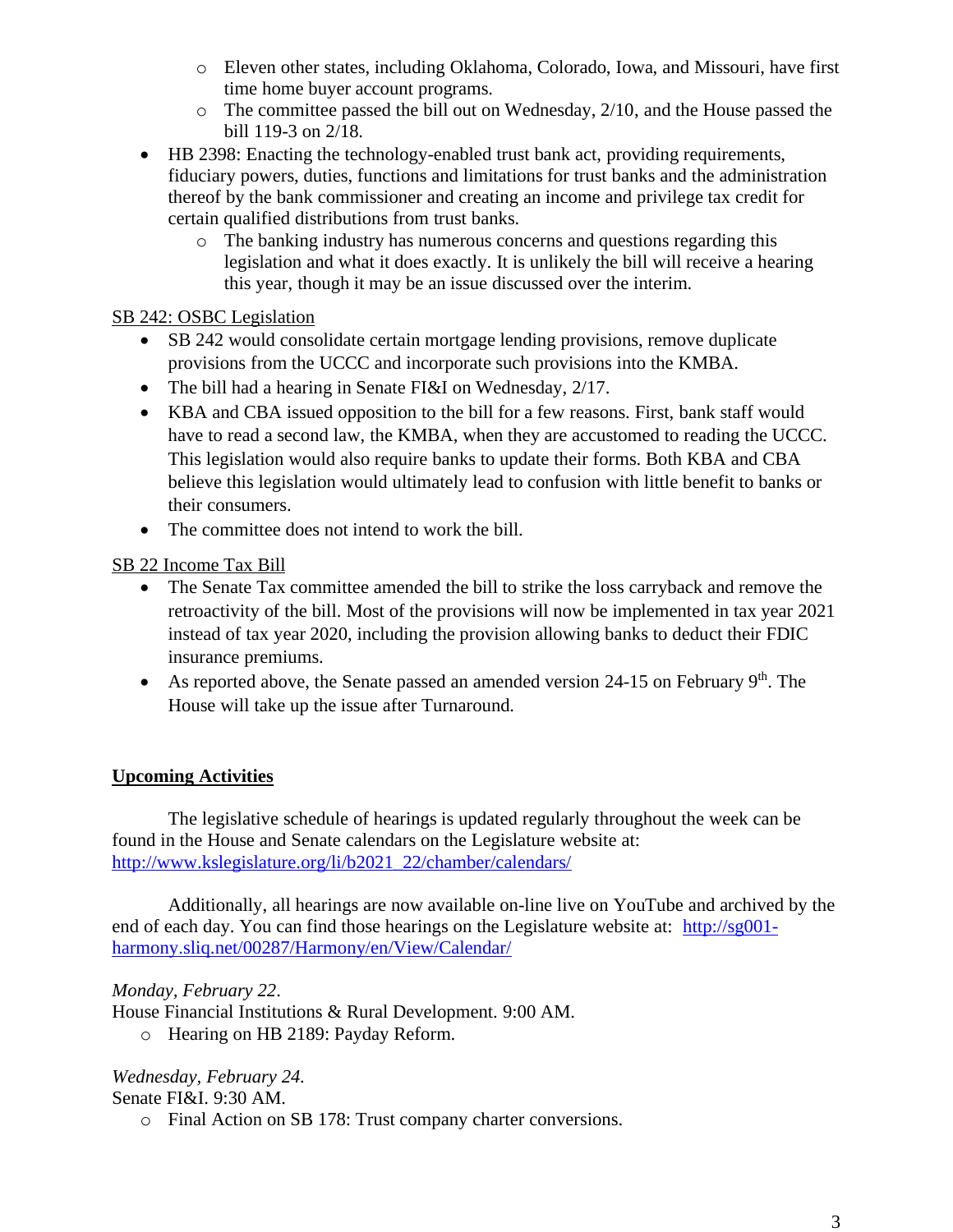- o Eleven other states, including Oklahoma, Colorado, Iowa, and Missouri, have first time home buyer account programs.
- $\circ$  The committee passed the bill out on Wednesday, 2/10, and the House passed the bill 119-3 on 2/18.
- HB 2398: Enacting the technology-enabled trust bank act, providing requirements, fiduciary powers, duties, functions and limitations for trust banks and the administration thereof by the bank commissioner and creating an income and privilege tax credit for certain qualified distributions from trust banks.
	- o The banking industry has numerous concerns and questions regarding this legislation and what it does exactly. It is unlikely the bill will receive a hearing this year, though it may be an issue discussed over the interim.

### SB 242: OSBC Legislation

- SB 242 would consolidate certain mortgage lending provisions, remove duplicate provisions from the UCCC and incorporate such provisions into the KMBA.
- The bill had a hearing in Senate FI&I on Wednesday, 2/17.
- KBA and CBA issued opposition to the bill for a few reasons. First, bank staff would have to read a second law, the KMBA, when they are accustomed to reading the UCCC. This legislation would also require banks to update their forms. Both KBA and CBA believe this legislation would ultimately lead to confusion with little benefit to banks or their consumers.
- The committee does not intend to work the bill.

## SB 22 Income Tax Bill

- The Senate Tax committee amended the bill to strike the loss carryback and remove the retroactivity of the bill. Most of the provisions will now be implemented in tax year 2021 instead of tax year 2020, including the provision allowing banks to deduct their FDIC insurance premiums.
- As reported above, the Senate passed an amended version 24-15 on February  $9<sup>th</sup>$ . The House will take up the issue after Turnaround.

## **Upcoming Activities**

The legislative schedule of hearings is updated regularly throughout the week can be found in the House and Senate calendars on the Legislature website at: [http://www.kslegislature.org/li/b2021\\_22/chamber/calendars/](http://www.kslegislature.org/li/b2021_22/chamber/calendars/)

Additionally, all hearings are now available on-line live on YouTube and archived by the end of each day. You can find those hearings on the Legislature website at: [http://sg001](http://sg001-harmony.sliq.net/00287/Harmony/en/View/Calendar/) [harmony.sliq.net/00287/Harmony/en/View/Calendar/](http://sg001-harmony.sliq.net/00287/Harmony/en/View/Calendar/)

## *Monday, February 22*.

House Financial Institutions & Rural Development. 9:00 AM.

o Hearing on HB 2189: Payday Reform.

## *Wednesday, February 24.*

Senate FI&I. 9:30 AM.

o Final Action on SB 178: Trust company charter conversions.